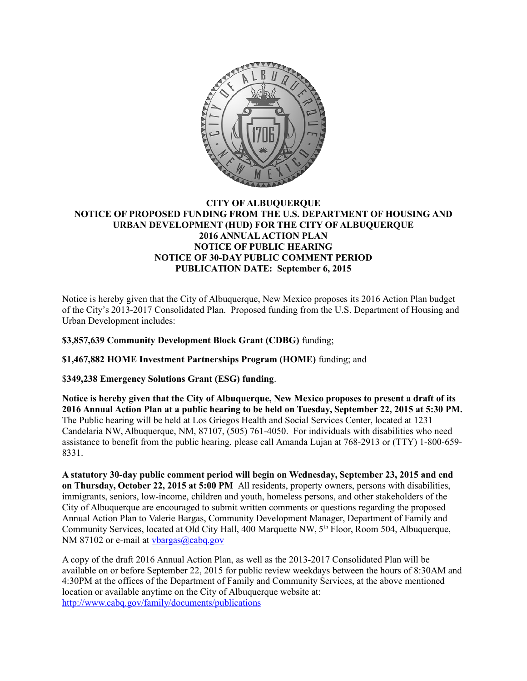

## **CITY OF ALBUQUERQUE NOTICE OF PROPOSED FUNDING FROM THE U.S. DEPARTMENT OF HOUSING AND URBAN DEVELOPMENT (HUD) FOR THE CITY OF ALBUQUERQUE 2016 ANNUAL ACTION PLAN NOTICE OF PUBLIC HEARING NOTICE OF 30-DAY PUBLIC COMMENT PERIOD PUBLICATION DATE: September 6, 2015**

Notice is hereby given that the City of Albuquerque, New Mexico proposes its 2016 Action Plan budget of the City's 2013-2017 Consolidated Plan. Proposed funding from the U.S. Department of Housing and Urban Development includes:

**\$3,857,639 Community Development Block Grant (CDBG)** funding;

**\$1,467,882 HOME Investment Partnerships Program (HOME)** funding; and

\$**349,238 Emergency Solutions Grant (ESG) funding**.

**Notice is hereby given that the City of Albuquerque, New Mexico proposes to present a draft of its 2016 Annual Action Plan at a public hearing to be held on Tuesday, September 22, 2015 at 5:30 PM.** The Public hearing will be held at Los Griegos Health and Social Services Center, located at 1231 Candelaria NW, Albuquerque, NM, 87107, (505) 761-4050. For individuals with disabilities who need assistance to benefit from the public hearing, please call Amanda Lujan at 768-2913 or (TTY) 1-800-659- 8331.

**A statutory 30-day public comment period will begin on Wednesday, September 23, 2015 and end on Thursday, October 22, 2015 at 5:00 PM** All residents, property owners, persons with disabilities, immigrants, seniors, low-income, children and youth, homeless persons, and other stakeholders of the City of Albuquerque are encouraged to submit written comments or questions regarding the proposed Annual Action Plan to Valerie Bargas, Community Development Manager, Department of Family and Community Services, located at Old City Hall, 400 Marquette NW, 5<sup>th</sup> Floor, Room 504, Albuquerque, NM 87102 or e-mail at [vbargas@cabq.gov](mailto:vbargas@cabq.gov)

A copy of the draft 2016 Annual Action Plan, as well as the 2013-2017 Consolidated Plan will be available on or before September 22, 2015 for public review weekdays between the hours of 8:30AM and 4:30PM at the offices of the Department of Family and Community Services, at the above mentioned location or available anytime on the City of Albuquerque website at: <http://www.cabq.gov/family/documents/publications>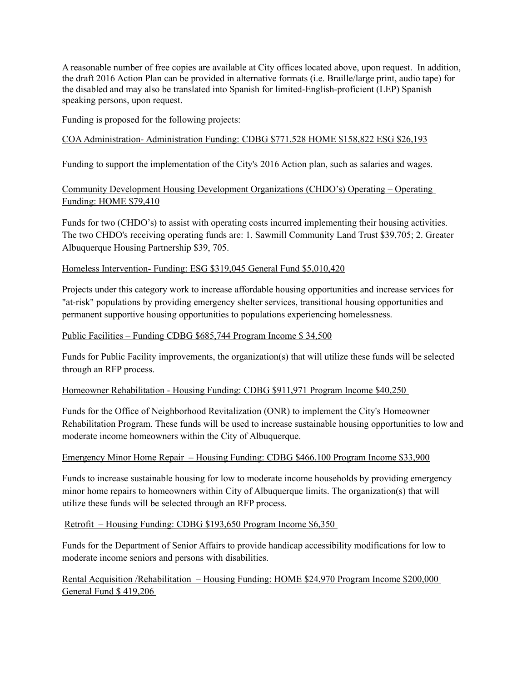A reasonable number of free copies are available at City offices located above, upon request. In addition, the draft 2016 Action Plan can be provided in alternative formats (i.e. Braille/large print, audio tape) for the disabled and may also be translated into Spanish for limited-English-proficient (LEP) Spanish speaking persons, upon request.

Funding is proposed for the following projects:

### COA Administration- Administration Funding: CDBG \$771,528 HOME \$158,822 ESG \$26,193

Funding to support the implementation of the City's 2016 Action plan, such as salaries and wages.

### Community Development Housing Development Organizations (CHDO's) Operating – Operating Funding: HOME \$79,410

Funds for two (CHDO's) to assist with operating costs incurred implementing their housing activities. The two CHDO's receiving operating funds are: 1. Sawmill Community Land Trust \$39,705; 2. Greater Albuquerque Housing Partnership \$39, 705.

### Homeless Intervention- Funding: ESG \$319,045 General Fund \$5,010,420

Projects under this category work to increase affordable housing opportunities and increase services for "at-risk" populations by providing emergency shelter services, transitional housing opportunities and permanent supportive housing opportunities to populations experiencing homelessness.

### Public Facilities – Funding CDBG \$685,744 Program Income \$ 34,500

Funds for Public Facility improvements, the organization(s) that will utilize these funds will be selected through an RFP process.

### Homeowner Rehabilitation - Housing Funding: CDBG \$911,971 Program Income \$40,250

Funds for the Office of Neighborhood Revitalization (ONR) to implement the City's Homeowner Rehabilitation Program. These funds will be used to increase sustainable housing opportunities to low and moderate income homeowners within the City of Albuquerque.

### Emergency Minor Home Repair – Housing Funding: CDBG \$466,100 Program Income \$33,900

Funds to increase sustainable housing for low to moderate income households by providing emergency minor home repairs to homeowners within City of Albuquerque limits. The organization(s) that will utilize these funds will be selected through an RFP process.

### Retrofit – Housing Funding: CDBG \$193,650 Program Income \$6,350

Funds for the Department of Senior Affairs to provide handicap accessibility modifications for low to moderate income seniors and persons with disabilities.

Rental Acquisition /Rehabilitation – Housing Funding: HOME \$24,970 Program Income \$200,000 General Fund \$ 419,206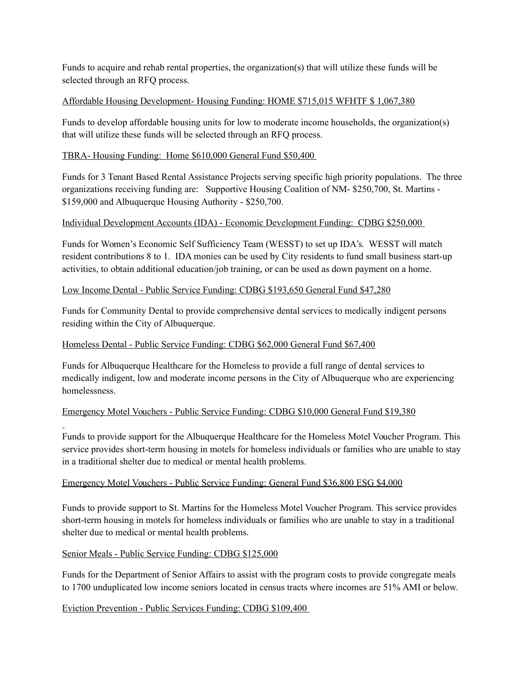Funds to acquire and rehab rental properties, the organization(s) that will utilize these funds will be selected through an RFQ process.

# Affordable Housing Development- Housing Funding: HOME \$715,015 WFHTF \$ 1,067,380

Funds to develop affordable housing units for low to moderate income households, the organization(s) that will utilize these funds will be selected through an RFQ process.

## TBRA- Housing Funding: Home \$610,000 General Fund \$50,400

Funds for 3 Tenant Based Rental Assistance Projects serving specific high priority populations. The three organizations receiving funding are: Supportive Housing Coalition of NM- \$250,700, St. Martins - \$159,000 and Albuquerque Housing Authority - \$250,700.

## Individual Development Accounts (IDA) - Economic Development Funding: CDBG \$250,000

Funds for Women's Economic Self Sufficiency Team (WESST) to set up IDA's. WESST will match resident contributions 8 to 1. IDA monies can be used by City residents to fund small business start-up activities, to obtain additional education/job training, or can be used as down payment on a home.

### Low Income Dental - Public Service Funding: CDBG \$193,650 General Fund \$47,280

Funds for Community Dental to provide comprehensive dental services to medically indigent persons residing within the City of Albuquerque.

### Homeless Dental - Public Service Funding: CDBG \$62,000 General Fund \$67,400

Funds for Albuquerque Healthcare for the Homeless to provide a full range of dental services to medically indigent, low and moderate income persons in the City of Albuquerque who are experiencing homelessness.

## Emergency Motel Vouchers - Public Service Funding: CDBG \$10,000 General Fund \$19,380

Funds to provide support for the Albuquerque Healthcare for the Homeless Motel Voucher Program. This service provides short-term housing in motels for homeless individuals or families who are unable to stay in a traditional shelter due to medical or mental health problems.

## Emergency Motel Vouchers - Public Service Funding: General Fund \$36,800 ESG \$4,000

Funds to provide support to St. Martins for the Homeless Motel Voucher Program. This service provides short-term housing in motels for homeless individuals or families who are unable to stay in a traditional shelter due to medical or mental health problems.

## Senior Meals - Public Service Funding: CDBG \$125,000

Funds for the Department of Senior Affairs to assist with the program costs to provide congregate meals to 1700 unduplicated low income seniors located in census tracts where incomes are 51% AMI or below.

### Eviction Prevention - Public Services Funding: CDBG \$109,400